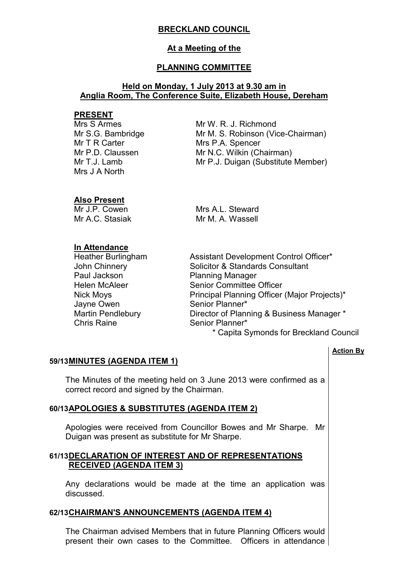# **BRECKLAND COUNCIL**

## **At a Meeting of the**

## **PLANNING COMMITTEE**

### **Held on Monday, 1 July 2013 at 9.30 am in Anglia Room, The Conference Suite, Elizabeth House, Dereham**

### **PRESENT**

Mrs S Armes Mr S.G. Bambridge Mr T R Carter Mr P.D. Claussen Mr T.J. Lamb Mrs J A North

Mr W. R. J. Richmond Mr M. S. Robinson (Vice-Chairman) Mrs P.A. Spencer Mr N.C. Wilkin (Chairman) Mr P.J. Duigan (Substitute Member)

## **Also Present**

Mr J.P. Cowen Mr A.C. Stasiak Mrs A.L. Steward Mr M. A. Wassell

### **In Attendance**

Paul Jackson Planning Manager Jayne Owen Senior Planner\*<br>
Martin Pendlebury Senior of Planner\* Chris Raine Senior Planner\*

Heather Burlingham Assistant Development Control Officer\* John Chinnery Solicitor & Standards Consultant Helen McAleer Senior Committee Officer Nick Moys **Principal Planning Officer (Major Projects)\*** Director of Planning & Business Manager \*

\* Capita Symonds for Breckland Council

#### **Action By**

## **59/13 MINUTES (AGENDA ITEM 1)**

 The Minutes of the meeting held on 3 June 2013 were confirmed as a correct record and signed by the Chairman.

#### **60/13 APOLOGIES & SUBSTITUTES (AGENDA ITEM 2)**

 Apologies were received from Councillor Bowes and Mr Sharpe. Mr Duigan was present as substitute for Mr Sharpe.

## **61/13 DECLARATION OF INTEREST AND OF REPRESENTATIONS RECEIVED (AGENDA ITEM 3)**

 Any declarations would be made at the time an application was discussed.

#### **62/13 CHAIRMAN'S ANNOUNCEMENTS (AGENDA ITEM 4)**

 The Chairman advised Members that in future Planning Officers would present their own cases to the Committee. Officers in attendance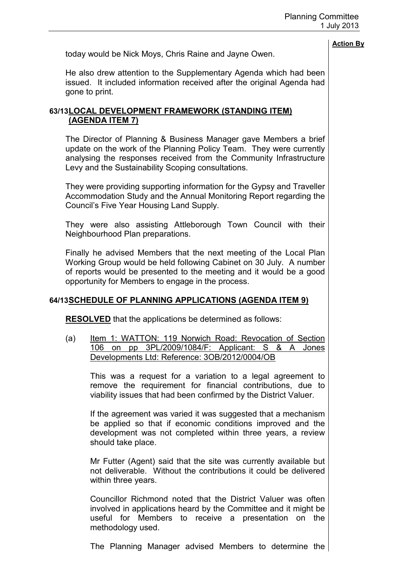today would be Nick Moys, Chris Raine and Jayne Owen.

He also drew attention to the Supplementary Agenda which had been issued. It included information received after the original Agenda had gone to print.

## **63/13 LOCAL DEVELOPMENT FRAMEWORK (STANDING ITEM) (AGENDA ITEM 7)**

 The Director of Planning & Business Manager gave Members a brief update on the work of the Planning Policy Team. They were currently analysing the responses received from the Community Infrastructure Levy and the Sustainability Scoping consultations.

They were providing supporting information for the Gypsy and Traveller Accommodation Study and the Annual Monitoring Report regarding the Council's Five Year Housing Land Supply.

They were also assisting Attleborough Town Council with their Neighbourhood Plan preparations.

Finally he advised Members that the next meeting of the Local Plan Working Group would be held following Cabinet on 30 July. A number of reports would be presented to the meeting and it would be a good opportunity for Members to engage in the process.

## **64/13 SCHEDULE OF PLANNING APPLICATIONS (AGENDA ITEM 9)**

**RESOLVED** that the applications be determined as follows:

(a) Item 1: WATTON: 119 Norwich Road: Revocation of Section 106 on pp 3PL/2009/1084/F: Applicant: S & A Jones Developments Ltd: Reference: 3OB/2012/0004/OB

This was a request for a variation to a legal agreement to remove the requirement for financial contributions, due to viability issues that had been confirmed by the District Valuer.

If the agreement was varied it was suggested that a mechanism be applied so that if economic conditions improved and the development was not completed within three years, a review should take place.

Mr Futter (Agent) said that the site was currently available but not deliverable. Without the contributions it could be delivered within three years.

Councillor Richmond noted that the District Valuer was often involved in applications heard by the Committee and it might be useful for Members to receive a presentation on the methodology used.

The Planning Manager advised Members to determine the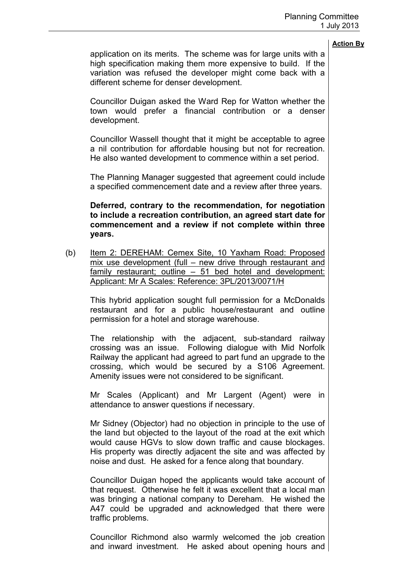application on its merits. The scheme was for large units with a high specification making them more expensive to build. If the variation was refused the developer might come back with a different scheme for denser development.

Councillor Duigan asked the Ward Rep for Watton whether the town would prefer a financial contribution or a denser development.

Councillor Wassell thought that it might be acceptable to agree a nil contribution for affordable housing but not for recreation. He also wanted development to commence within a set period.

The Planning Manager suggested that agreement could include a specified commencement date and a review after three years.

**Deferred, contrary to the recommendation, for negotiation to include a recreation contribution, an agreed start date for commencement and a review if not complete within three years.** 

(b) Item 2: DEREHAM: Cemex Site, 10 Yaxham Road: Proposed mix use development (full – new drive through restaurant and family restaurant; outline – 51 bed hotel and development: Applicant: Mr A Scales: Reference: 3PL/2013/0071/H

This hybrid application sought full permission for a McDonalds restaurant and for a public house/restaurant and outline permission for a hotel and storage warehouse.

The relationship with the adjacent, sub-standard railway crossing was an issue. Following dialogue with Mid Norfolk Railway the applicant had agreed to part fund an upgrade to the crossing, which would be secured by a S106 Agreement. Amenity issues were not considered to be significant.

Mr Scales (Applicant) and Mr Largent (Agent) were in attendance to answer questions if necessary.

Mr Sidney (Objector) had no objection in principle to the use of the land but objected to the layout of the road at the exit which would cause HGVs to slow down traffic and cause blockages. His property was directly adjacent the site and was affected by noise and dust. He asked for a fence along that boundary.

Councillor Duigan hoped the applicants would take account of that request. Otherwise he felt it was excellent that a local man was bringing a national company to Dereham. He wished the A47 could be upgraded and acknowledged that there were traffic problems.

Councillor Richmond also warmly welcomed the job creation and inward investment. He asked about opening hours and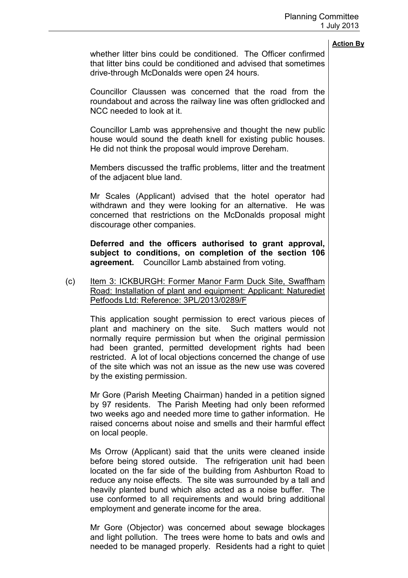whether litter bins could be conditioned. The Officer confirmed that litter bins could be conditioned and advised that sometimes drive-through McDonalds were open 24 hours.

Councillor Claussen was concerned that the road from the roundabout and across the railway line was often gridlocked and NCC needed to look at it.

Councillor Lamb was apprehensive and thought the new public house would sound the death knell for existing public houses. He did not think the proposal would improve Dereham.

Members discussed the traffic problems, litter and the treatment of the adjacent blue land.

Mr Scales (Applicant) advised that the hotel operator had withdrawn and they were looking for an alternative. He was concerned that restrictions on the McDonalds proposal might discourage other companies.

**Deferred and the officers authorised to grant approval, subject to conditions, on completion of the section 106 agreement.** Councillor Lamb abstained from voting.

(c) Item 3: ICKBURGH: Former Manor Farm Duck Site, Swaffham Road: Installation of plant and equipment: Applicant: Naturediet Petfoods Ltd: Reference: 3PL/2013/0289/F

This application sought permission to erect various pieces of plant and machinery on the site. Such matters would not normally require permission but when the original permission had been granted, permitted development rights had been restricted. A lot of local objections concerned the change of use of the site which was not an issue as the new use was covered by the existing permission.

Mr Gore (Parish Meeting Chairman) handed in a petition signed by 97 residents. The Parish Meeting had only been reformed two weeks ago and needed more time to gather information. He raised concerns about noise and smells and their harmful effect on local people.

Ms Orrow (Applicant) said that the units were cleaned inside before being stored outside. The refrigeration unit had been located on the far side of the building from Ashburton Road to reduce any noise effects. The site was surrounded by a tall and heavily planted bund which also acted as a noise buffer. The use conformed to all requirements and would bring additional employment and generate income for the area.

Mr Gore (Objector) was concerned about sewage blockages and light pollution. The trees were home to bats and owls and needed to be managed properly. Residents had a right to quiet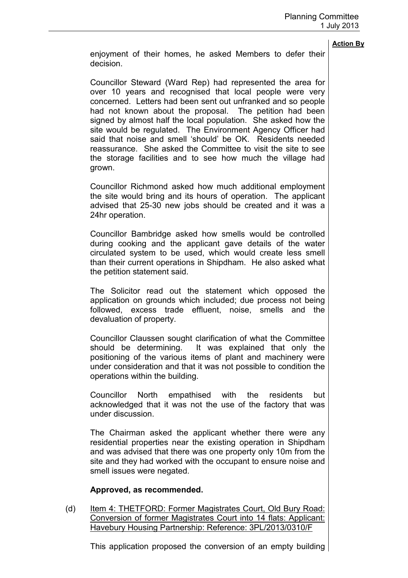enjoyment of their homes, he asked Members to defer their decision.

Councillor Steward (Ward Rep) had represented the area for over 10 years and recognised that local people were very concerned. Letters had been sent out unfranked and so people had not known about the proposal. The petition had been signed by almost half the local population. She asked how the site would be regulated. The Environment Agency Officer had said that noise and smell 'should' be OK. Residents needed reassurance. She asked the Committee to visit the site to see the storage facilities and to see how much the village had grown.

Councillor Richmond asked how much additional employment the site would bring and its hours of operation. The applicant advised that 25-30 new jobs should be created and it was a 24hr operation.

Councillor Bambridge asked how smells would be controlled during cooking and the applicant gave details of the water circulated system to be used, which would create less smell than their current operations in Shipdham. He also asked what the petition statement said.

The Solicitor read out the statement which opposed the application on grounds which included; due process not being followed, excess trade effluent, noise, smells and the devaluation of property.

Councillor Claussen sought clarification of what the Committee should be determining. It was explained that only the positioning of the various items of plant and machinery were under consideration and that it was not possible to condition the operations within the building.

Councillor North empathised with the residents but acknowledged that it was not the use of the factory that was under discussion.

The Chairman asked the applicant whether there were any residential properties near the existing operation in Shipdham and was advised that there was one property only 10m from the site and they had worked with the occupant to ensure noise and smell issues were negated.

#### **Approved, as recommended.**

(d) Item 4: THETFORD: Former Magistrates Court, Old Bury Road: Conversion of former Magistrates Court into 14 flats: Applicant: Havebury Housing Partnership: Reference: 3PL/2013/0310/F

This application proposed the conversion of an empty building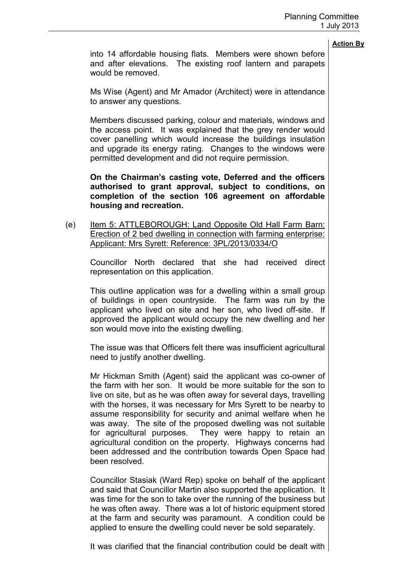into 14 affordable housing flats. Members were shown before and after elevations. The existing roof lantern and parapets would be removed.

Ms Wise (Agent) and Mr Amador (Architect) were in attendance to answer any questions.

Members discussed parking, colour and materials, windows and the access point. It was explained that the grey render would cover panelling which would increase the buildings insulation and upgrade its energy rating. Changes to the windows were permitted development and did not require permission.

**On the Chairman's casting vote, Deferred and the officers authorised to grant approval, subject to conditions, on completion of the section 106 agreement on affordable housing and recreation.** 

(e) Item 5: ATTLEBOROUGH: Land Opposite Old Hall Farm Barn: Erection of 2 bed dwelling in connection with farming enterprise: Applicant: Mrs Syrett: Reference: 3PL/2013/0334/O

Councillor North declared that she had received direct representation on this application.

This outline application was for a dwelling within a small group of buildings in open countryside. The farm was run by the applicant who lived on site and her son, who lived off-site. If approved the applicant would occupy the new dwelling and her son would move into the existing dwelling.

The issue was that Officers felt there was insufficient agricultural need to justify another dwelling.

Mr Hickman Smith (Agent) said the applicant was co-owner of the farm with her son. It would be more suitable for the son to live on site, but as he was often away for several days, travelling with the horses, it was necessary for Mrs Syrett to be nearby to assume responsibility for security and animal welfare when he was away. The site of the proposed dwelling was not suitable for agricultural purposes. They were happy to retain an agricultural condition on the property. Highways concerns had been addressed and the contribution towards Open Space had been resolved.

Councillor Stasiak (Ward Rep) spoke on behalf of the applicant and said that Councillor Martin also supported the application. It was time for the son to take over the running of the business but he was often away. There was a lot of historic equipment stored at the farm and security was paramount. A condition could be applied to ensure the dwelling could never be sold separately.

It was clarified that the financial contribution could be dealt with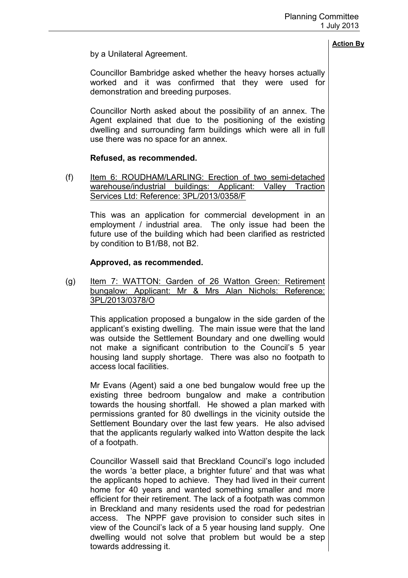## by a Unilateral Agreement.

Councillor Bambridge asked whether the heavy horses actually worked and it was confirmed that they were used for demonstration and breeding purposes.

Councillor North asked about the possibility of an annex. The Agent explained that due to the positioning of the existing dwelling and surrounding farm buildings which were all in full use there was no space for an annex.

## **Refused, as recommended.**

(f) Item 6: ROUDHAM/LARLING: Erection of two semi-detached warehouse/industrial buildings: Applicant: Valley Traction Services Ltd: Reference: 3PL/2013/0358/F

This was an application for commercial development in an employment / industrial area. The only issue had been the future use of the building which had been clarified as restricted by condition to B1/B8, not B2.

### **Approved, as recommended.**

(g) Item 7: WATTON: Garden of 26 Watton Green: Retirement bungalow: Applicant: Mr & Mrs Alan Nichols: Reference: 3PL/2013/0378/O

This application proposed a bungalow in the side garden of the applicant's existing dwelling. The main issue were that the land was outside the Settlement Boundary and one dwelling would not make a significant contribution to the Council's 5 year housing land supply shortage. There was also no footpath to access local facilities.

Mr Evans (Agent) said a one bed bungalow would free up the existing three bedroom bungalow and make a contribution towards the housing shortfall. He showed a plan marked with permissions granted for 80 dwellings in the vicinity outside the Settlement Boundary over the last few years. He also advised that the applicants regularly walked into Watton despite the lack of a footpath.

Councillor Wassell said that Breckland Council's logo included the words 'a better place, a brighter future' and that was what the applicants hoped to achieve. They had lived in their current home for 40 years and wanted something smaller and more efficient for their retirement. The lack of a footpath was common in Breckland and many residents used the road for pedestrian access. The NPPF gave provision to consider such sites in view of the Council's lack of a 5 year housing land supply. One dwelling would not solve that problem but would be a step towards addressing it.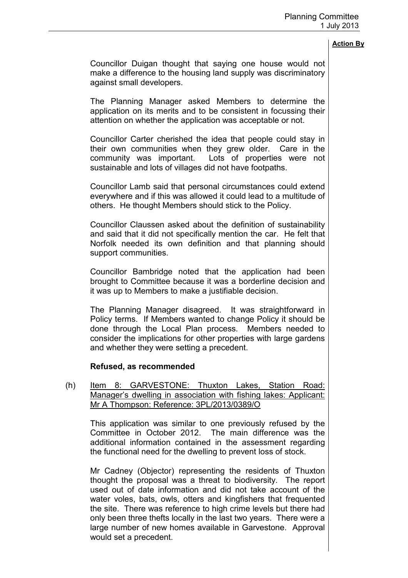Councillor Duigan thought that saying one house would not make a difference to the housing land supply was discriminatory against small developers.

The Planning Manager asked Members to determine the application on its merits and to be consistent in focussing their attention on whether the application was acceptable or not.

Councillor Carter cherished the idea that people could stay in their own communities when they grew older. Care in the community was important. Lots of properties were not sustainable and lots of villages did not have footpaths.

Councillor Lamb said that personal circumstances could extend everywhere and if this was allowed it could lead to a multitude of others. He thought Members should stick to the Policy.

Councillor Claussen asked about the definition of sustainability and said that it did not specifically mention the car. He felt that Norfolk needed its own definition and that planning should support communities.

Councillor Bambridge noted that the application had been brought to Committee because it was a borderline decision and it was up to Members to make a justifiable decision.

The Planning Manager disagreed. It was straightforward in Policy terms. If Members wanted to change Policy it should be done through the Local Plan process. Members needed to consider the implications for other properties with large gardens and whether they were setting a precedent.

#### **Refused, as recommended**

(h) Item 8: GARVESTONE: Thuxton Lakes, Station Road: Manager's dwelling in association with fishing lakes: Applicant: Mr A Thompson: Reference: 3PL/2013/0389/O

This application was similar to one previously refused by the Committee in October 2012. The main difference was the additional information contained in the assessment regarding the functional need for the dwelling to prevent loss of stock.

Mr Cadney (Objector) representing the residents of Thuxton thought the proposal was a threat to biodiversity. The report used out of date information and did not take account of the water voles, bats, owls, otters and kingfishers that frequented the site. There was reference to high crime levels but there had only been three thefts locally in the last two years. There were a large number of new homes available in Garvestone. Approval would set a precedent.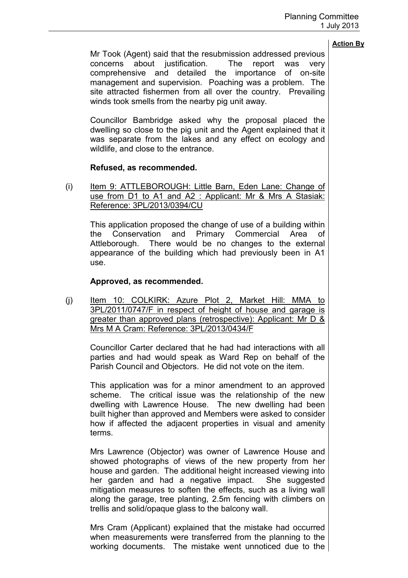Mr Took (Agent) said that the resubmission addressed previous concerns about justification. The report was very comprehensive and detailed the importance of on-site management and supervision. Poaching was a problem. The site attracted fishermen from all over the country. Prevailing winds took smells from the nearby pig unit away.

Councillor Bambridge asked why the proposal placed the dwelling so close to the pig unit and the Agent explained that it was separate from the lakes and any effect on ecology and wildlife, and close to the entrance.

## **Refused, as recommended.**

(i) Item 9: ATTLEBOROUGH: Little Barn, Eden Lane: Change of use from D1 to A1 and A2 : Applicant: Mr & Mrs A Stasiak: Reference: 3PL/2013/0394/CU

This application proposed the change of use of a building within the Conservation and Primary Commercial Area of Attleborough. There would be no changes to the external appearance of the building which had previously been in A1 use.

## **Approved, as recommended.**

(j) Item 10: COLKIRK: Azure Plot 2, Market Hill: MMA to 3PL/2011/0747/F in respect of height of house and garage is greater than approved plans (retrospective): Applicant: Mr D & Mrs M A Cram: Reference: 3PL/2013/0434/F

Councillor Carter declared that he had had interactions with all parties and had would speak as Ward Rep on behalf of the Parish Council and Objectors. He did not vote on the item.

This application was for a minor amendment to an approved scheme. The critical issue was the relationship of the new dwelling with Lawrence House. The new dwelling had been built higher than approved and Members were asked to consider how if affected the adjacent properties in visual and amenity terms.

Mrs Lawrence (Objector) was owner of Lawrence House and showed photographs of views of the new property from her house and garden. The additional height increased viewing into her garden and had a negative impact. She suggested mitigation measures to soften the effects, such as a living wall along the garage, tree planting, 2.5m fencing with climbers on trellis and solid/opaque glass to the balcony wall.

Mrs Cram (Applicant) explained that the mistake had occurred when measurements were transferred from the planning to the working documents. The mistake went unnoticed due to the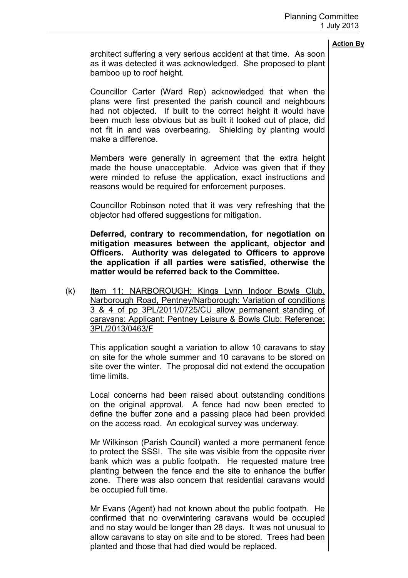architect suffering a very serious accident at that time. As soon as it was detected it was acknowledged. She proposed to plant bamboo up to roof height.

Councillor Carter (Ward Rep) acknowledged that when the plans were first presented the parish council and neighbours had not objected. If built to the correct height it would have been much less obvious but as built it looked out of place, did not fit in and was overbearing. Shielding by planting would make a difference.

Members were generally in agreement that the extra height made the house unacceptable. Advice was given that if they were minded to refuse the application, exact instructions and reasons would be required for enforcement purposes.

Councillor Robinson noted that it was very refreshing that the objector had offered suggestions for mitigation.

**Deferred, contrary to recommendation, for negotiation on mitigation measures between the applicant, objector and Officers. Authority was delegated to Officers to approve the application if all parties were satisfied, otherwise the matter would be referred back to the Committee.** 

(k) Item 11: NARBOROUGH: Kings Lynn Indoor Bowls Club, Narborough Road, Pentney/Narborough: Variation of conditions 3 & 4 of pp 3PL/2011/0725/CU allow permanent standing of caravans: Applicant: Pentney Leisure & Bowls Club: Reference: 3PL/2013/0463/F

This application sought a variation to allow 10 caravans to stay on site for the whole summer and 10 caravans to be stored on site over the winter. The proposal did not extend the occupation time limits.

Local concerns had been raised about outstanding conditions on the original approval. A fence had now been erected to define the buffer zone and a passing place had been provided on the access road. An ecological survey was underway.

Mr Wilkinson (Parish Council) wanted a more permanent fence to protect the SSSI. The site was visible from the opposite river bank which was a public footpath. He requested mature tree planting between the fence and the site to enhance the buffer zone. There was also concern that residential caravans would be occupied full time.

Mr Evans (Agent) had not known about the public footpath. He confirmed that no overwintering caravans would be occupied and no stay would be longer than 28 days. It was not unusual to allow caravans to stay on site and to be stored. Trees had been planted and those that had died would be replaced.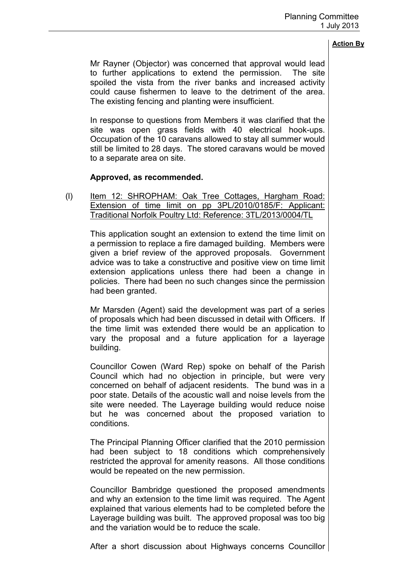Mr Rayner (Objector) was concerned that approval would lead to further applications to extend the permission. The site spoiled the vista from the river banks and increased activity could cause fishermen to leave to the detriment of the area. The existing fencing and planting were insufficient.

In response to questions from Members it was clarified that the site was open grass fields with 40 electrical hook-ups. Occupation of the 10 caravans allowed to stay all summer would still be limited to 28 days. The stored caravans would be moved to a separate area on site.

## **Approved, as recommended.**

(I) Item 12: SHROPHAM: Oak Tree Cottages, Hargham Road: Extension of time limit on pp 3PL/2010/0185/F: Applicant: Traditional Norfolk Poultry Ltd: Reference: 3TL/2013/0004/TL

This application sought an extension to extend the time limit on a permission to replace a fire damaged building. Members were given a brief review of the approved proposals. Government advice was to take a constructive and positive view on time limit extension applications unless there had been a change in policies. There had been no such changes since the permission had been granted.

Mr Marsden (Agent) said the development was part of a series of proposals which had been discussed in detail with Officers. If the time limit was extended there would be an application to vary the proposal and a future application for a layerage building.

Councillor Cowen (Ward Rep) spoke on behalf of the Parish Council which had no objection in principle, but were very concerned on behalf of adjacent residents. The bund was in a poor state. Details of the acoustic wall and noise levels from the site were needed. The Layerage building would reduce noise but he was concerned about the proposed variation to conditions.

The Principal Planning Officer clarified that the 2010 permission had been subject to 18 conditions which comprehensively restricted the approval for amenity reasons. All those conditions would be repeated on the new permission.

Councillor Bambridge questioned the proposed amendments and why an extension to the time limit was required. The Agent explained that various elements had to be completed before the Layerage building was built. The approved proposal was too big and the variation would be to reduce the scale.

After a short discussion about Highways concerns Councillor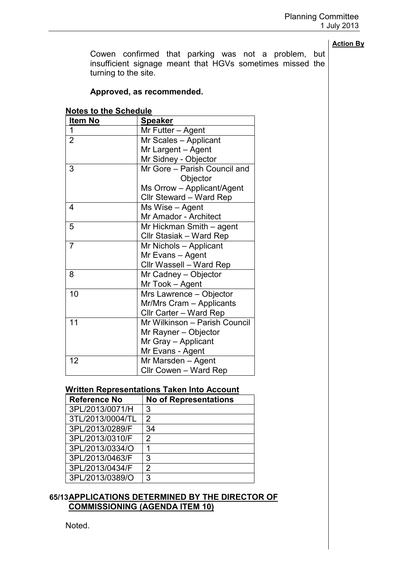Cowen confirmed that parking was not a problem, but insufficient signage meant that HGVs sometimes missed the turning to the site.

#### **Approved, as recommended.**

| <b>Notes to the Schedule</b> |  |
|------------------------------|--|
|------------------------------|--|

| <b>Item No</b> | <b>Speaker</b>                |
|----------------|-------------------------------|
| 1              | Mr Futter - Agent             |
| $\overline{2}$ | Mr Scales - Applicant         |
|                | Mr Largent - Agent            |
|                | Mr Sidney - Objector          |
| 3              | Mr Gore - Parish Council and  |
|                | Objector                      |
|                | Ms Orrow - Applicant/Agent    |
|                | Cllr Steward - Ward Rep       |
| 4              | Ms Wise - Agent               |
|                | Mr Amador - Architect         |
| 5              | Mr Hickman Smith - agent      |
|                | Cllr Stasiak - Ward Rep       |
| 7              | Mr Nichols - Applicant        |
|                | Mr Evans - Agent              |
|                | Cllr Wassell - Ward Rep       |
| 8              | Mr Cadney - Objector          |
|                | Mr Took - Agent               |
| 10             | Mrs Lawrence - Objector       |
|                | Mr/Mrs Cram - Applicants      |
|                | Cllr Carter - Ward Rep        |
| 11             | Mr Wilkinson - Parish Council |
|                | Mr Rayner - Objector          |
|                | Mr Gray - Applicant           |
|                | Mr Evans - Agent              |
| 12             | Mr Marsden - Agent            |
|                | Cllr Cowen - Ward Rep         |

#### **Written Representations Taken Into Account**

| <b>Reference No</b> | <b>No of Representations</b> |
|---------------------|------------------------------|
| 3PL/2013/0071/H     | 3                            |
| 3TL/2013/0004/TL    | $\overline{2}$               |
| 3PL/2013/0289/F     | 34                           |
| 3PL/2013/0310/F     | 2                            |
| 3PL/2013/0334/O     |                              |
| 3PL/2013/0463/F     | 3                            |
| 3PL/2013/0434/F     | 2                            |
| 3PL/2013/0389/O     | 3                            |

#### **65/13 APPLICATIONS DETERMINED BY THE DIRECTOR OF COMMISSIONING (AGENDA ITEM 10)**

Noted.